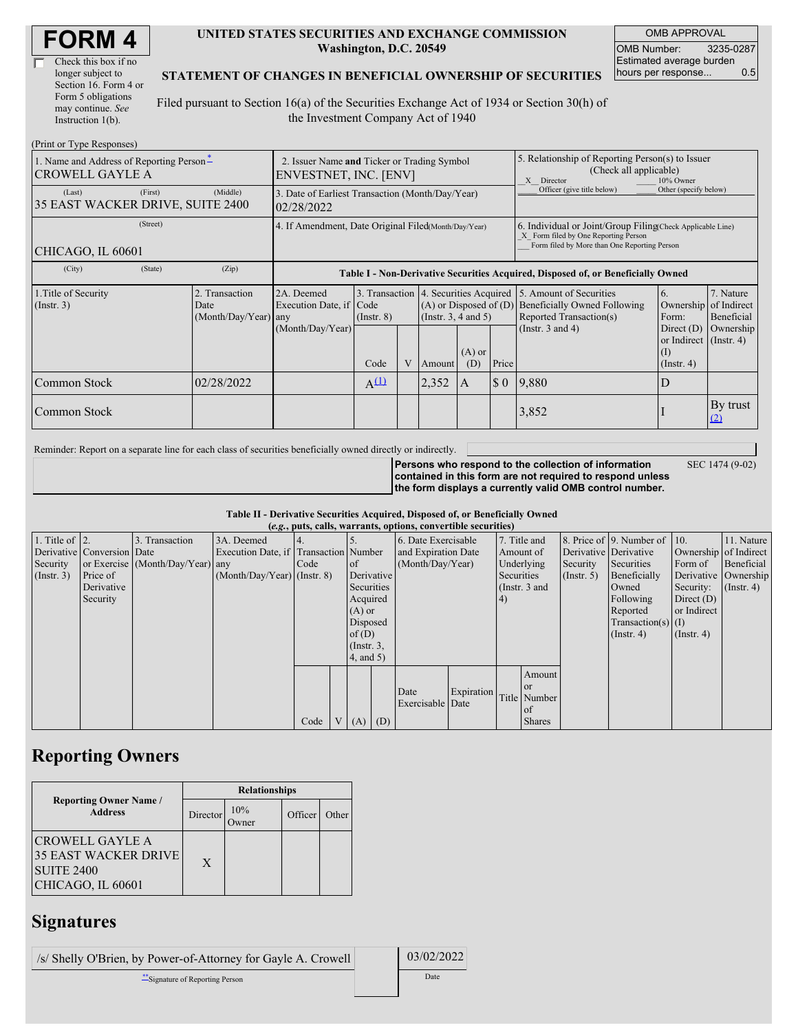| Check this box if no  |
|-----------------------|
| longer subject to     |
| Section 16. Form 4 or |
| Form 5 obligations    |
| may continue. See     |
| Instruction 1(b).     |

#### **UNITED STATES SECURITIES AND EXCHANGE COMMISSION Washington, D.C. 20549**

OMB APPROVAL OMB Number: 3235-0287 Estimated average burden hours per response... 0.5

### **STATEMENT OF CHANGES IN BENEFICIAL OWNERSHIP OF SECURITIES**

Filed pursuant to Section 16(a) of the Securities Exchange Act of 1934 or Section 30(h) of the Investment Company Act of 1940

| (Print or Type Responses)                                                      |                                                                      |                                                |                                                                                  |                 |   |                                                    |                                                                                                                                                    |                            |                                                                                                                          |                                                                      |                                        |
|--------------------------------------------------------------------------------|----------------------------------------------------------------------|------------------------------------------------|----------------------------------------------------------------------------------|-----------------|---|----------------------------------------------------|----------------------------------------------------------------------------------------------------------------------------------------------------|----------------------------|--------------------------------------------------------------------------------------------------------------------------|----------------------------------------------------------------------|----------------------------------------|
| 1. Name and Address of Reporting Person <sup>*</sup><br><b>CROWELL GAYLE A</b> | 2. Issuer Name and Ticker or Trading Symbol<br>ENVESTNET, INC. [ENV] |                                                |                                                                                  |                 |   |                                                    | 5. Relationship of Reporting Person(s) to Issuer<br>(Check all applicable)<br>10% Owner<br>X Director                                              |                            |                                                                                                                          |                                                                      |                                        |
| (Last)<br>35 EAST WACKER DRIVE, SUITE 2400                                     | (First)                                                              | (Middle)                                       | 3. Date of Earliest Transaction (Month/Day/Year)<br>02/28/2022                   |                 |   |                                                    |                                                                                                                                                    | Officer (give title below) | Other (specify below)                                                                                                    |                                                                      |                                        |
| CHICAGO, IL 60601                                                              | 4. If Amendment, Date Original Filed(Month/Day/Year)                 |                                                |                                                                                  |                 |   |                                                    | 6. Individual or Joint/Group Filing(Check Applicable Line)<br>X Form filed by One Reporting Person<br>Form filed by More than One Reporting Person |                            |                                                                                                                          |                                                                      |                                        |
| (City)                                                                         | (State)                                                              | (Zip)                                          | Table I - Non-Derivative Securities Acquired, Disposed of, or Beneficially Owned |                 |   |                                                    |                                                                                                                                                    |                            |                                                                                                                          |                                                                      |                                        |
| 1. Title of Security<br>(Insert. 3)                                            |                                                                      | 2. Transaction<br>Date<br>(Month/Day/Year) any | 2A. Deemed<br>Execution Date, if Code<br>(Month/Day/Year)                        | $($ Instr. $8)$ |   | $(A)$ or Disposed of $(D)$<br>(Insert. 3, 4 and 5) |                                                                                                                                                    |                            | 3. Transaction 4. Securities Acquired 5. Amount of Securities<br>Beneficially Owned Following<br>Reported Transaction(s) | 6.<br>Ownership<br>Form:                                             | 7. Nature<br>of Indirect<br>Beneficial |
|                                                                                |                                                                      |                                                |                                                                                  | Code            | V | Amount                                             | $(A)$ or<br>(D)                                                                                                                                    | Price                      | (Instr. $3$ and $4$ )                                                                                                    | Direct $(D)$<br>or Indirect (Instr. 4)<br>$($ I)<br>$($ Instr. 4 $)$ | Ownership                              |
| Common Stock                                                                   |                                                                      | 02/28/2022                                     |                                                                                  | $A^{(1)}$       |   | 2,352                                              | A                                                                                                                                                  | $\S$ 0                     | 9,880                                                                                                                    | D                                                                    |                                        |
| <b>Common Stock</b>                                                            |                                                                      |                                                |                                                                                  |                 |   |                                                    |                                                                                                                                                    |                            | 3,852                                                                                                                    |                                                                      | By trust<br>(2)                        |

Reminder: Report on a separate line for each class of securities beneficially owned directly or indirectly.

**Persons who respond to the collection of information contained in this form are not required to respond unless the form displays a currently valid OMB control number.** SEC 1474 (9-02)

**Table II - Derivative Securities Acquired, Disposed of, or Beneficially Owned**

| (e.g., puts, calls, warrants, options, convertible securities) |                            |                                  |                                       |      |  |                 |     |                     |            |            |                      |                  |                              |                       |                  |
|----------------------------------------------------------------|----------------------------|----------------------------------|---------------------------------------|------|--|-----------------|-----|---------------------|------------|------------|----------------------|------------------|------------------------------|-----------------------|------------------|
| 1. Title of $\vert$ 2.                                         |                            | 3. Transaction                   | 3A. Deemed                            |      |  |                 |     | 6. Date Exercisable |            |            | 7. Title and         |                  | 8. Price of 9. Number of 10. |                       | 11. Nature       |
|                                                                | Derivative Conversion Date |                                  | Execution Date, if Transaction Number |      |  |                 |     | and Expiration Date |            | Amount of  |                      |                  | Derivative Derivative        | Ownership of Indirect |                  |
| Security                                                       |                            | or Exercise (Month/Day/Year) any |                                       | Code |  | of              |     | (Month/Day/Year)    |            | Underlying |                      | Security         | Securities                   | Form of               | Beneficial       |
| (Insert. 3)                                                    | Price of                   |                                  | $(Month/Day/Year)$ (Instr. 8)         |      |  | Derivative      |     |                     |            | Securities |                      | $($ Instr. 5 $)$ | Beneficially                 | Derivative Ownership  |                  |
|                                                                | Derivative                 |                                  |                                       |      |  | Securities      |     |                     |            |            | (Instr. $3$ and      |                  | Owned                        | Security:             | $($ Instr. 4 $)$ |
|                                                                | Security                   |                                  |                                       |      |  | Acquired        |     |                     |            | (4)        |                      |                  | Following                    | Direct $(D)$          |                  |
|                                                                |                            |                                  |                                       |      |  | $(A)$ or        |     |                     |            |            |                      |                  | Reported                     | or Indirect           |                  |
|                                                                |                            |                                  |                                       |      |  | Disposed        |     |                     |            |            | $Transaction(s)$ (I) |                  |                              |                       |                  |
|                                                                |                            |                                  |                                       |      |  | of(D)           |     |                     |            |            |                      | $($ Instr. 4 $)$ | $($ Instr. 4 $)$             |                       |                  |
|                                                                |                            |                                  |                                       |      |  | $($ Instr. 3,   |     |                     |            |            |                      |                  |                              |                       |                  |
|                                                                |                            |                                  |                                       |      |  | $4$ , and $5$ ) |     |                     |            |            |                      |                  |                              |                       |                  |
|                                                                |                            |                                  |                                       |      |  |                 |     |                     |            |            | Amount               |                  |                              |                       |                  |
|                                                                |                            |                                  |                                       |      |  |                 |     |                     |            |            | <b>or</b>            |                  |                              |                       |                  |
|                                                                |                            |                                  |                                       |      |  |                 |     | Date                | Expiration |            | Title Number         |                  |                              |                       |                  |
|                                                                |                            |                                  |                                       |      |  |                 |     | Exercisable Date    |            |            | <sub>of</sub>        |                  |                              |                       |                  |
|                                                                |                            |                                  |                                       | Code |  | V(A)            | (D) |                     |            |            | <b>Shares</b>        |                  |                              |                       |                  |

## **Reporting Owners**

|                                                                                          | <b>Relationships</b> |                 |         |       |  |  |  |  |
|------------------------------------------------------------------------------------------|----------------------|-----------------|---------|-------|--|--|--|--|
| <b>Reporting Owner Name /</b><br><b>Address</b>                                          | Director             | 10%<br><b>T</b> | Officer | Other |  |  |  |  |
| CROWELL GAYLE A<br><b>35 EAST WACKER DRIVE</b><br><b>SUITE 2400</b><br>CHICAGO, IL 60601 | X                    |                 |         |       |  |  |  |  |

## **Signatures**

| /s/ Shelly O'Brien, by Power-of-Attorney for Gayle A. Crowell | 03/02/2022 |
|---------------------------------------------------------------|------------|
| Signature of Reporting Person                                 | Date       |

 $\Box$